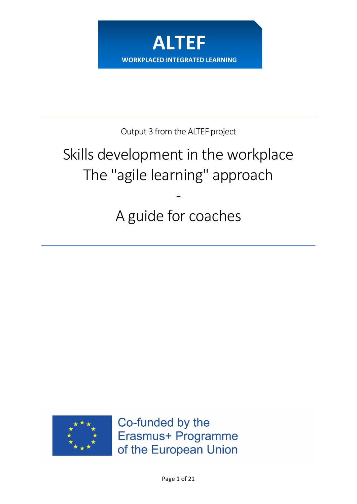

Output 3 from the ALTEF project

# Skills development in the workplace The "agile learning" approach

A guide for coaches

-



Co-funded by the Erasmus+ Programme of the European Union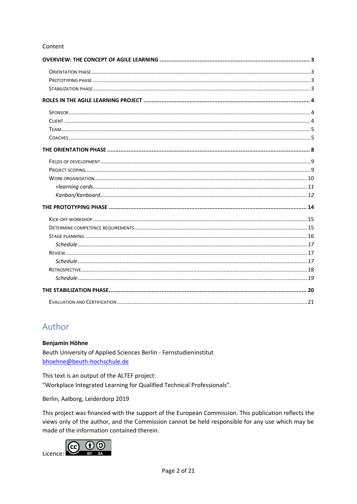#### Content

# Author

Benjamin Höhne

Beuth University of Applied Sciences Berlin - Fernstudieninstitut bhoehne@beuth-hochschule.de

This text is an output of the ALTEF project: "Workplace Integrated Learning for Qualified Technical Professionals".

Berlin, Aalborg, Leiderdorp 2019

This project was financed with the support of the European Commission. This publication reflects the views only of the author, and the Commission cannot be held responsible for any use which may be made of the information contained therein.

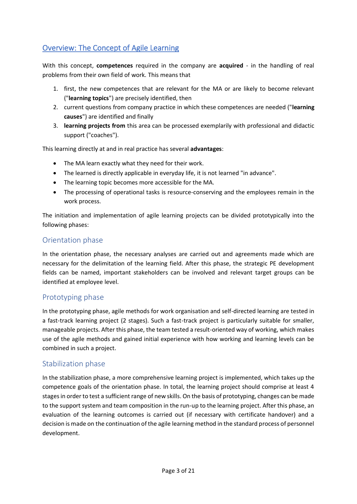# <span id="page-2-0"></span>Overview: The Concept of Agile Learning

With this concept, **competences** required in the company are **acquired** - in the handling of real problems from their own field of work. This means that

- 1. first, the new competences that are relevant for the MA or are likely to become relevant ("**learning topics**") are precisely identified, then
- 2. current questions from company practice in which these competences are needed ("**learning causes**") are identified and finally
- 3. **learning projects from** this area can be processed exemplarily with professional and didactic support ("coaches").

This learning directly at and in real practice has several **advantages**:

- The MA learn exactly what they need for their work.
- The learned is directly applicable in everyday life, it is not learned "in advance".
- The learning topic becomes more accessible for the MA.
- The processing of operational tasks is resource-conserving and the employees remain in the work process.

The initiation and implementation of agile learning projects can be divided prototypically into the following phases:

#### <span id="page-2-1"></span>Orientation phase

In the orientation phase, the necessary analyses are carried out and agreements made which are necessary for the delimitation of the learning field. After this phase, the strategic PE development fields can be named, important stakeholders can be involved and relevant target groups can be identified at employee level.

#### <span id="page-2-2"></span>Prototyping phase

In the prototyping phase, agile methods for work organisation and self-directed learning are tested in a fast-track learning project (2 stages). Such a fast-track project is particularly suitable for smaller, manageable projects. After this phase, the team tested a result-oriented way of working, which makes use of the agile methods and gained initial experience with how working and learning levels can be combined in such a project.

#### <span id="page-2-3"></span>Stabilization phase

In the stabilization phase, a more comprehensive learning project is implemented, which takes up the competence goals of the orientation phase. In total, the learning project should comprise at least 4 stages in order to test a sufficient range of new skills. On the basis of prototyping, changes can be made to the support system and team composition in the run-up to the learning project. After this phase, an evaluation of the learning outcomes is carried out (if necessary with certificate handover) and a decision is made on the continuation of the agile learning method in the standard process of personnel development.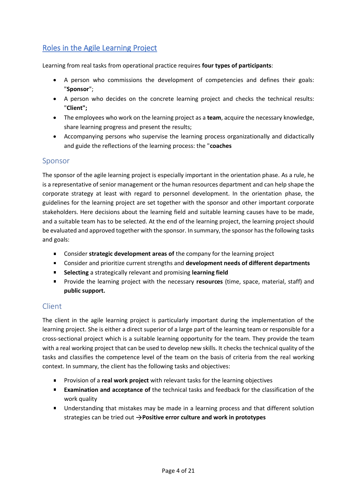# <span id="page-3-0"></span>Roles in the Agile Learning Project

Learning from real tasks from operational practice requires **four types of participants**:

- A person who commissions the development of competencies and defines their goals: "**Sponsor**";
- A person who decides on the concrete learning project and checks the technical results: "**Client";**
- The employees who work on the learning project as a **team**, acquire the necessary knowledge, share learning progress and present the results;
- Accompanying persons who supervise the learning process organizationally and didactically and guide the reflections of the learning process: the "**coaches**

#### <span id="page-3-1"></span>Sponsor

The sponsor of the agile learning project is especially important in the orientation phase. As a rule, he is a representative of senior management or the human resources department and can help shape the corporate strategy at least with regard to personnel development. In the orientation phase, the guidelines for the learning project are set together with the sponsor and other important corporate stakeholders. Here decisions about the learning field and suitable learning causes have to be made, and a suitable team has to be selected. At the end of the learning project, the learning project should be evaluated and approved together with the sponsor. In summary, the sponsor has the following tasks and goals:

- **EXP** Consider **strategic development areas of** the company for the learning project
- Consider and prioritize current strengths and **development needs of different departments**
- **Selecting** a strategically relevant and promising **learning field**
- Provide the learning project with the necessary **resources** (time, space, material, staff) and **public support.**

#### <span id="page-3-2"></span>Client

The client in the agile learning project is particularly important during the implementation of the learning project. She is either a direct superior of a large part of the learning team or responsible for a cross-sectional project which is a suitable learning opportunity for the team. They provide the team with a real working project that can be used to develop new skills. It checks the technical quality of the tasks and classifies the competence level of the team on the basis of criteria from the real working context. In summary, the client has the following tasks and objectives:

- **Provision of a real work project** with relevant tasks for the learning objectives
- **Examination and acceptance of** the technical tasks and feedback for the classification of the work quality
- Understanding that mistakes may be made in a learning process and that different solution strategies can be tried out  $\rightarrow$  **Positive error culture and work in prototypes**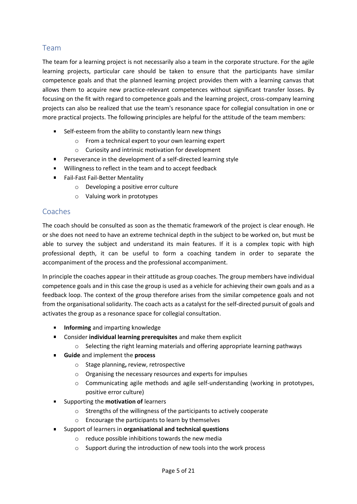## <span id="page-4-0"></span>Team

The team for a learning project is not necessarily also a team in the corporate structure. For the agile learning projects, particular care should be taken to ensure that the participants have similar competence goals and that the planned learning project provides them with a learning canvas that allows them to acquire new practice-relevant competences without significant transfer losses. By focusing on the fit with regard to competence goals and the learning project, cross-company learning projects can also be realized that use the team's resonance space for collegial consultation in one or more practical projects. The following principles are helpful for the attitude of the team members:

- Self-esteem from the ability to constantly learn new things
	- o From a technical expert to your own learning expert
	- o Curiosity and intrinsic motivation for development
- **Perseverance in the development of a self-directed learning style**
- **Willingness to reflect in the team and to accept feedback**
- Fail-Fast Fail-Better Mentality
	- o Developing a positive error culture
		- o Valuing work in prototypes

#### <span id="page-4-1"></span>Coaches

The coach should be consulted as soon as the thematic framework of the project is clear enough. He or she does not need to have an extreme technical depth in the subject to be worked on, but must be able to survey the subject and understand its main features. If it is a complex topic with high professional depth, it can be useful to form a coaching tandem in order to separate the accompaniment of the process and the professional accompaniment.

In principle the coaches appear in their attitude as group coaches. The group members have individual competence goals and in this case the group is used as a vehicle for achieving their own goals and as a feedback loop. The context of the group therefore arises from the similar competence goals and not from the organisational solidarity. The coach acts as a catalyst for the self-directed pursuit of goals and activates the group as a resonance space for collegial consultation.

- **Informing** and imparting knowledge
- Consider **individual learning prerequisites** and make them explicit
	- $\circ$  Selecting the right learning materials and offering appropriate learning pathways
- **Guide** and implement the **process** 
	- o Stage planning**,** review, retrospective
	- o Organising the necessary resources and experts for impulses
	- $\circ$  Communicating agile methods and agile self-understanding (working in prototypes, positive error culture)
- **EXECUTE:** Supporting the **motivation of** learners
	- o Strengths of the willingness of the participants to actively cooperate
	- o Encourage the participants to learn by themselves
- Support of learners in **organisational and technical questions**
	- o reduce possible inhibitions towards the new media
	- o Support during the introduction of new tools into the work process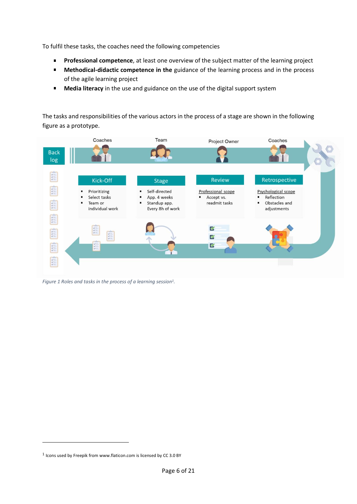To fulfil these tasks, the coaches need the following competencies

- $\blacksquare$ **Professional competence**, at least one overview of the subject matter of the learning project
- **Methodical-didactic competence in the** guidance of the learning process and in the process  $\blacksquare$ of the agile learning project
- $\blacksquare$ **Media literacy** in the use and guidance on the use of the digital support system

The tasks and responsibilities of the various actors in the process of a stage are shown in the following figure as a prototype.



*Figure 1 Roles and tasks in the process of a learning session<sup>1</sup> .*

<sup>&</sup>lt;sup>1</sup> Icons used by Freepik from www.flaticon.com is licensed by CC 3.0 BY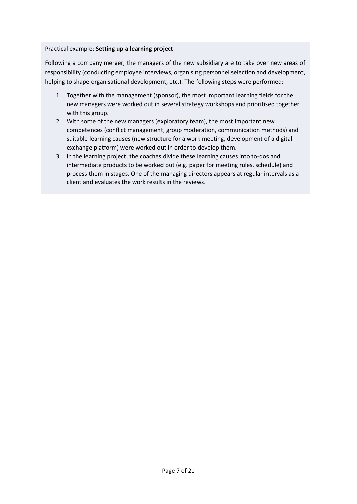#### Practical example: **Setting up a learning project**

Following a company merger, the managers of the new subsidiary are to take over new areas of responsibility (conducting employee interviews, organising personnel selection and development, helping to shape organisational development, etc.). The following steps were performed:

- 1. Together with the management (sponsor), the most important learning fields for the new managers were worked out in several strategy workshops and prioritised together with this group.
- 2. With some of the new managers (exploratory team), the most important new competences (conflict management, group moderation, communication methods) and suitable learning causes (new structure for a work meeting, development of a digital exchange platform) were worked out in order to develop them.
- 3. In the learning project, the coaches divide these learning causes into to-dos and intermediate products to be worked out (e.g. paper for meeting rules, schedule) and process them in stages. One of the managing directors appears at regular intervals as a client and evaluates the work results in the reviews.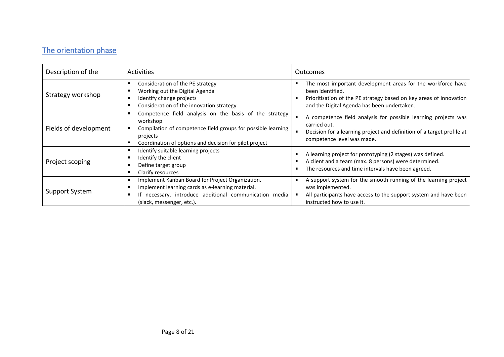# The orientation phase

<span id="page-7-0"></span>

| Description of the    | Activities                                                                                                                                                                                               | Outcomes                                                                                                                                                                                             |
|-----------------------|----------------------------------------------------------------------------------------------------------------------------------------------------------------------------------------------------------|------------------------------------------------------------------------------------------------------------------------------------------------------------------------------------------------------|
| Strategy workshop     | Consideration of the PE strategy<br>Working out the Digital Agenda<br>Identify change projects<br>Consideration of the innovation strategy                                                               | The most important development areas for the workforce have<br>been identified.<br>Prioritisation of the PE strategy based on key areas of innovation<br>and the Digital Agenda has been undertaken. |
| Fields of development | Competence field analysis on the basis of the strategy<br>workshop<br>Compilation of competence field groups for possible learning<br>projects<br>Coordination of options and decision for pilot project | A competence field analysis for possible learning projects was<br>carried out.<br>Decision for a learning project and definition of a target profile at<br>competence level was made.                |
| Project scoping       | Identify suitable learning projects<br>Identify the client<br>Define target group<br>Clarify resources                                                                                                   | A learning project for prototyping (2 stages) was defined.<br>A client and a team (max. 8 persons) were determined.<br>The resources and time intervals have been agreed.                            |
| Support System        | Implement Kanban Board for Project Organization.<br>Implement learning cards as e-learning material.<br>If necessary, introduce additional communication media<br>(slack, messenger, etc.).              | A support system for the smooth running of the learning project<br>was implemented.<br>All participants have access to the support system and have been<br>instructed how to use it.                 |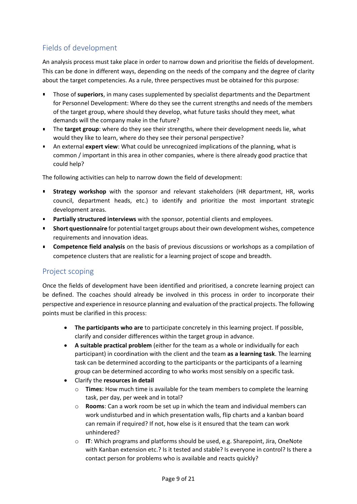# <span id="page-8-0"></span>Fields of development

An analysis process must take place in order to narrow down and prioritise the fields of development. This can be done in different ways, depending on the needs of the company and the degree of clarity about the target competencies. As a rule, three perspectives must be obtained for this purpose:

- Those of **superiors**, in many cases supplemented by specialist departments and the Department for Personnel Development: Where do they see the current strengths and needs of the members of the target group, where should they develop, what future tasks should they meet, what demands will the company make in the future?
- The **target group**: where do they see their strengths, where their development needs lie, what would they like to learn, where do they see their personal perspective?
- An external **expert view**: What could be unrecognized implications of the planning, what is common / important in this area in other companies, where is there already good practice that could help?

The following activities can help to narrow down the field of development:

- **Strategy workshop** with the sponsor and relevant stakeholders (HR department, HR, works council, department heads, etc.) to identify and prioritize the most important strategic development areas.
- **Partially structured interviews** with the sponsor, potential clients and employees.
- **Short questionnaire** for potential target groups about their own development wishes, competence requirements and innovation ideas.
- **Competence field analysis** on the basis of previous discussions or workshops as a compilation of competence clusters that are realistic for a learning project of scope and breadth.

#### <span id="page-8-1"></span>Project scoping

Once the fields of development have been identified and prioritised, a concrete learning project can be defined. The coaches should already be involved in this process in order to incorporate their perspective and experience in resource planning and evaluation of the practical projects. The following points must be clarified in this process:

- **The participants who are** to participate concretely in this learning project. If possible, clarify and consider differences within the target group in advance.
- **A suitable practical problem** (either for the team as a whole or individually for each participant) in coordination with the client and the team **as a learning task**. The learning task can be determined according to the participants or the participants of a learning group can be determined according to who works most sensibly on a specific task.
- Clarify the **resources in detail** 
	- o **Times**: How much time is available for the team members to complete the learning task, per day, per week and in total?
	- o **Rooms**: Can a work room be set up in which the team and individual members can work undisturbed and in which presentation walls, flip charts and a kanban board can remain if required? If not, how else is it ensured that the team can work unhindered?
	- o **IT**: Which programs and platforms should be used, e.g. Sharepoint, Jira, OneNote with Kanban extension etc.? Is it tested and stable? Is everyone in control? Is there a contact person for problems who is available and reacts quickly?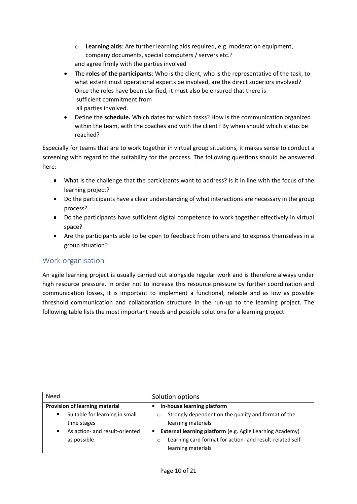- o **Learning aids**: Are further learning aids required, e.g. moderation equipment, company documents, special computers / servers etc.? and agree firmly with the parties involved
- The **roles of the participants**: Who is the client, who is the representative of the task, to what extent must operational experts be involved, are the direct superiors involved? Once the roles have been clarified, it must also be ensured that there is sufficient commitment from all parties involved.
- Define the **schedule.** Which dates for which tasks? How is the communication organized within the team, with the coaches and with the client? By when should which status be reached?

Especially for teams that are to work together in virtual group situations, it makes sense to conduct a screening with regard to the suitability for the process. The following questions should be answered here:

- What is the challenge that the participants want to address? Is it in line with the focus of the  $\blacksquare$ learning project?
- Do the participants have a clear understanding of what interactions are necessary in the group process?
- Do the participants have sufficient digital competence to work together effectively in virtual space?
- **EXECT** Are the participants able to be open to feedback from others and to express themselves in a group situation?

## <span id="page-9-0"></span>Work organisation

An agile learning project is usually carried out alongside regular work and is therefore always under high resource pressure. In order not to increase this resource pressure by further coordination and communication losses, it is important to implement a functional, reliable and as low as possible threshold communication and collaboration structure in the run-up to the learning project. The following table lists the most important needs and possible solutions for a learning project:

| Need                                | Solution options                                                                           |  |
|-------------------------------------|--------------------------------------------------------------------------------------------|--|
| Provision of learning material      | In-house learning platform                                                                 |  |
| Suitable for learning in small<br>٠ | Strongly dependent on the quality and format of the<br>$\circ$                             |  |
| time stages                         | learning materials                                                                         |  |
| As action- and result-oriented      | External learning platform (e.g. Agile Learning Academy)<br>п                              |  |
| as possible                         | Learning card format for action- and result-related self-<br>$\circ$<br>learning materials |  |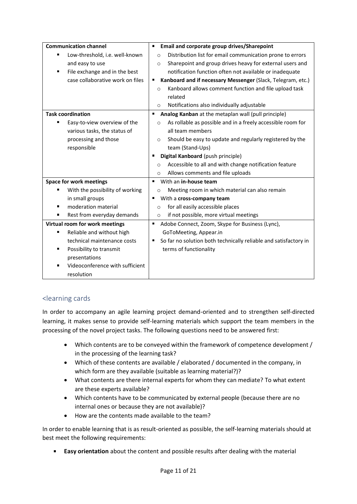| <b>Communication channel</b>                     | Email and corporate group drives/Sharepoint<br>٠                       |  |
|--------------------------------------------------|------------------------------------------------------------------------|--|
| Low-threshold, i.e. well-known<br>$\blacksquare$ | Distribution list for email communication prone to errors<br>$\circ$   |  |
| and easy to use                                  | Sharepoint and group drives heavy for external users and<br>$\circ$    |  |
| File exchange and in the best<br>٠               | notification function often not available or inadequate                |  |
| case collaborative work on files                 | Kanboard and if necessary Messenger (Slack, Telegram, etc.)<br>٠       |  |
|                                                  | Kanboard allows comment function and file upload task<br>$\circ$       |  |
|                                                  | related                                                                |  |
|                                                  | Notifications also individually adjustable<br>$\circ$                  |  |
| <b>Task coordination</b>                         | Analog Kanban at the metaplan wall (pull principle)<br>٠               |  |
| Easy-to-view overview of the<br>٠                | As rollable as possible and in a freely accessible room for<br>$\circ$ |  |
| various tasks, the status of                     | all team members                                                       |  |
| processing and those                             | Should be easy to update and regularly registered by the<br>$\circ$    |  |
| responsible                                      | team (Stand-Ups)                                                       |  |
|                                                  | Digital Kanboard (push principle)<br>п                                 |  |
|                                                  | Accessible to all and with change notification feature<br>$\circ$      |  |
|                                                  | Allows comments and file uploads<br>$\circ$                            |  |
| <b>Space for work meetings</b>                   | With an in-house team<br>٠                                             |  |
| With the possibility of working                  | Meeting room in which material can also remain<br>$\circ$              |  |
| in small groups                                  | With a cross-company team<br>٠                                         |  |
| moderation material                              | for all easily accessible places<br>$\circ$                            |  |
| Rest from everyday demands<br>٠                  | if not possible, more virtual meetings<br>$\circ$                      |  |
| Virtual room for work meetings                   | ٠<br>Adobe Connect, Zoom, Skype for Business (Lync),                   |  |
| Reliable and without high<br>п                   | GoToMeeting, Appear.in                                                 |  |
| technical maintenance costs                      | So far no solution both technically reliable and satisfactory in<br>٠  |  |
| Possibility to transmit                          | terms of functionality                                                 |  |
| presentations                                    |                                                                        |  |
| Videoconference with sufficient                  |                                                                        |  |
| resolution                                       |                                                                        |  |

#### <span id="page-10-0"></span><learning cards

In order to accompany an agile learning project demand-oriented and to strengthen self-directed learning, it makes sense to provide self-learning materials which support the team members in the processing of the novel project tasks. The following questions need to be answered first:

- Which contents are to be conveyed within the framework of competence development / in the processing of the learning task?
- Which of these contents are available / elaborated / documented in the company, in which form are they available (suitable as learning material?)?
- What contents are there internal experts for whom they can mediate? To what extent are these experts available?
- Which contents have to be communicated by external people (because there are no internal ones or because they are not available)?
- How are the contents made available to the team?

In order to enable learning that is as result-oriented as possible, the self-learning materials should at best meet the following requirements:

**Easy orientation** about the content and possible results after dealing with the material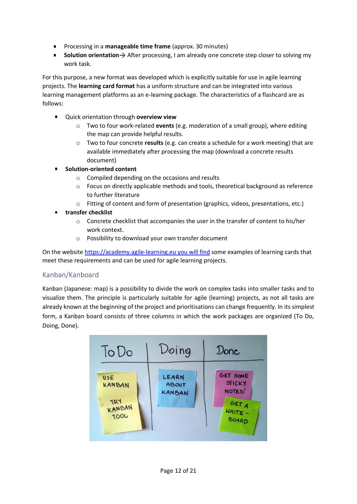- **Processing in a manageable time frame** (approx. 30 minutes)
- **Solution orientation**  $\rightarrow$  After processing, I am already one concrete step closer to solving my work task.

For this purpose, a new format was developed which is explicitly suitable for use in agile learning projects. The **learning card format** has a uniform structure and can be integrated into various learning management platforms as an e-learning package. The characteristics of a flashcard are as follows:

- $\blacksquare$ Quick orientation through **overview view**
	- o Two to four work-related **events** (e.g. moderation of a small group), where editing the map can provide helpful results.
	- o Two to four concrete **results** (e.g. can create a schedule for a work meeting) that are available immediately after processing the map (download a concrete results document)
- **Solution-oriented content**
	- o Compiled depending on the occasions and results
	- $\circ$  Focus on directly applicable methods and tools, theoretical background as reference to further literature
	- o Fitting of content and form of presentation (graphics, videos, presentations, etc.)
- $\blacksquare$ **transfer checklist**
	- $\circ$  Concrete checklist that accompanies the user in the transfer of content to his/her work context.
	- o Possibility to download your own transfer document

On the website [https://academy.agile-learning.eu you will find](https://academy.agile-learning.eu/) some examples of learning cards that meet these requirements and can be used for agile learning projects.

#### <span id="page-11-0"></span>Kanban/Kanboard

Kanban (Japanese: map) is a possibility to divide the work on complex tasks into smaller tasks and to visualize them. The principle is particularly suitable for agile (learning) projects, as not all tasks are already known at the beginning of the project and prioritisations can change frequently. In its simplest form, a Kanban board consists of three columns in which the work packages are organized (To Do, Doing, Done).

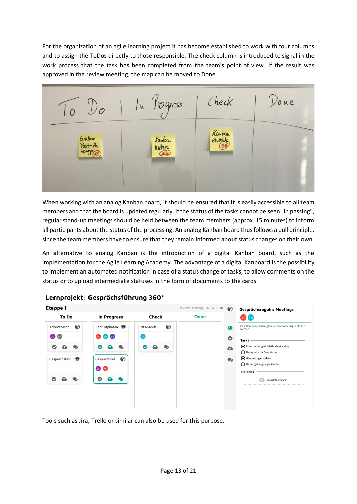For the organization of an agile learning project it has become established to work with four columns and to assign the ToDos directly to those responsible. The check column is introduced to signal in the work process that the task has been completed from the team's point of view. If the result was approved in the review meeting, the map can be moved to Done.



When working with an analog Kanban board, it should be ensured that it is easily accessible to all team members and that the board is updated regularly. If the status of the tasks cannot be seen "in passing", regular stand-up meetings should be held between the team members (approx. 15 minutes) to inform all participants about the status of the processing. An analog Kanban board thus follows a pull principle, since the team members have to ensure that they remain informed about status changes on their own.

An alternative to analog Kanban is the introduction of a digital Kanban board, such as the implementation for the Agile Learning Academy. The advantage of a digital Kanboard is the possibility to implement an automated notification in case of a status change of tasks, to allow comments on the status or to upload intermediate statuses in the form of documents to the cards.



Lernprojekt: Gesprächsführung 360°

Tools such as Jira, Trello or similar can also be used for this purpose.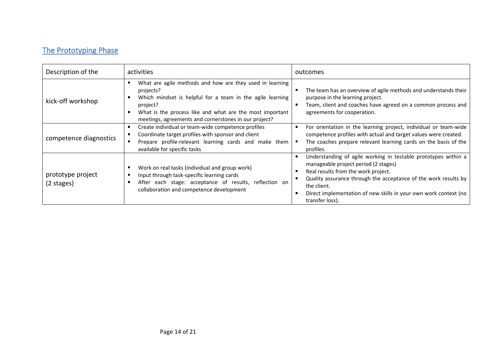# The Prototyping Phase

<span id="page-13-0"></span>

| Description of the              | activities                                                                                                                                                                                                                                                          | outcomes                                                                                                                                                                                                                                                                                                                    |
|---------------------------------|---------------------------------------------------------------------------------------------------------------------------------------------------------------------------------------------------------------------------------------------------------------------|-----------------------------------------------------------------------------------------------------------------------------------------------------------------------------------------------------------------------------------------------------------------------------------------------------------------------------|
| kick-off workshop               | What are agile methods and how are they used in learning<br>projects?<br>Which mindset is helpful for a team in the agile learning<br>project?<br>What is the process like and what are the most important<br>meetings, agreements and cornerstones in our project? | The team has an overview of agile methods and understands their<br>purpose in the learning project.<br>Team, client and coaches have agreed on a common process and<br>п<br>agreements for cooperation.                                                                                                                     |
| competence diagnostics          | Create individual or team-wide competence profiles<br>Coordinate target profiles with sponsor and client<br>Prepare profile-relevant learning cards and make them<br>available for specific tasks                                                                   | For orientation in the learning project, individual or team-wide<br>Е<br>competence profiles with actual and target values were created.<br>The coaches prepare relevant learning cards on the basis of the<br>$\blacksquare$<br>profiles.                                                                                  |
| prototype project<br>(2 stages) | Work on real tasks (individual and group work)<br>Input through task-specific learning cards<br>After each stage: acceptance of results, reflection on<br>collaboration and competence development                                                                  | Understanding of agile working in testable prototypes within a<br>Е<br>manageable project period (2 stages)<br>Real results from the work project.<br>Quality assurance through the acceptance of the work results by<br>the client.<br>Direct implementation of new skills in your own work context (no<br>transfer loss). |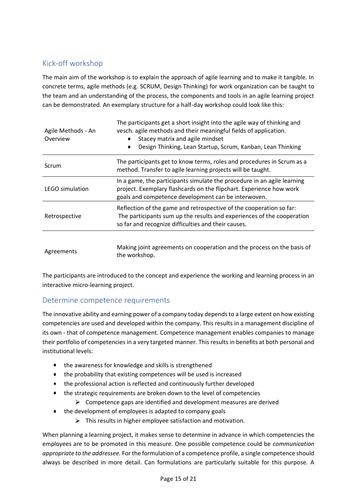# <span id="page-14-0"></span>Kick-off workshop

The main aim of the workshop is to explain the approach of agile learning and to make it tangible. In concrete terms, agile methods (e.g. SCRUM, Design Thinking) for work organization can be taught to the team and an understanding of the process, the components and tools in an agile learning project can be demonstrated. An exemplary structure for a half-day workshop could look like this:

| Agile Methods - An<br>Overview | The participants get a short insight into the agile way of thinking and<br>vesch, agile methods and their meaningful fields of application.<br>Stacey matrix and agile mindset<br>Design Thinking, Lean Startup, Scrum, Kanban, Lean Thinking<br>$\blacksquare$ |  |
|--------------------------------|-----------------------------------------------------------------------------------------------------------------------------------------------------------------------------------------------------------------------------------------------------------------|--|
| Scrum                          | The participants get to know terms, roles and procedures in Scrum as a<br>method. Transfer to agile learning projects will be taught.                                                                                                                           |  |
| <b>LEGO simulation</b>         | In a game, the participants simulate the procedure in an agile learning<br>project. Exemplary flashcards on the flipchart. Experience how work<br>goals and competence development can be interwoven.                                                           |  |
| Retrospective                  | Reflection of the game and retrospective of the cooperation so far:<br>The participants sum up the results and experiences of the cooperation<br>so far and recognize difficulties and their causes.                                                            |  |
| Agreements                     | Making joint agreements on cooperation and the process on the basis of                                                                                                                                                                                          |  |

The participants are introduced to the concept and experience the working and learning process in an interactive micro-learning project.

## <span id="page-14-1"></span>Determine competence requirements

The innovative ability and earning power of a company today depends to a large extent on how existing competencies are used and developed within the company. This results in a management discipline of its own - that of competence management. Competence management enables companies to manage their portfolio of competencies in a very targeted manner. This results in benefits at both personal and institutional levels:

■ the awareness for knowledge and skills is strengthened

the workshop.

- the probability that existing competences will be used is increased
- the professional action is reflected and continuously further developed
- the strategic requirements are broken down to the level of competencies  $\blacksquare$ 
	- $\triangleright$  Competence gaps are identified and development measures are derived
- $\blacksquare$ the development of employees is adapted to company goals
	- $\triangleright$  This results in higher employee satisfaction and motivation.

When planning a learning project, it makes sense to determine in advance in which competencies the employees are to be promoted in this measure. One possible competence could be *communication appropriate to the addressee.* For the formulation of a competence profile, a single competence should always be described in more detail. Can formulations are particularly suitable for this purpose. A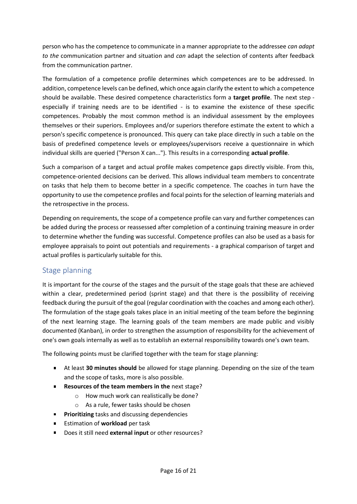person who has the competence to communicate in a manner appropriate to the addressee *can adapt to the* communication partner and situation and *can* adapt the selection of contents after feedback from the communication partner.

The formulation of a competence profile determines which competences are to be addressed. In addition, competence levels can be defined, which once again clarify the extent to which a competence should be available. These desired competence characteristics form a **target profile**. The next step especially if training needs are to be identified - is to examine the existence of these specific competences. Probably the most common method is an individual assessment by the employees themselves or their superiors. Employees and/or superiors therefore estimate the extent to which a person's specific competence is pronounced. This query can take place directly in such a table on the basis of predefined competence levels or employees/supervisors receive a questionnaire in which individual skills are queried ("Person X can..."). This results in a corresponding **actual profile**.

Such a comparison of a target and actual profile makes competence gaps directly visible. From this, competence-oriented decisions can be derived. This allows individual team members to concentrate on tasks that help them to become better in a specific competence. The coaches in turn have the opportunity to use the competence profiles and focal points for the selection of learning materials and the retrospective in the process.

Depending on requirements, the scope of a competence profile can vary and further competences can be added during the process or reassessed after completion of a continuing training measure in order to determine whether the funding was successful. Competence profiles can also be used as a basis for employee appraisals to point out potentials and requirements - a graphical comparison of target and actual profiles is particularly suitable for this.

## <span id="page-15-0"></span>Stage planning

It is important for the course of the stages and the pursuit of the stage goals that these are achieved within a clear, predetermined period (sprint stage) and that there is the possibility of receiving feedback during the pursuit of the goal (regular coordination with the coaches and among each other). The formulation of the stage goals takes place in an initial meeting of the team before the beginning of the next learning stage. The learning goals of the team members are made public and visibly documented (Kanban), in order to strengthen the assumption of responsibility for the achievement of one's own goals internally as well as to establish an external responsibility towards one's own team.

The following points must be clarified together with the team for stage planning:

- At least **30 minutes should** be allowed for stage planning. Depending on the size of the team and the scope of tasks, more is also possible.
- **Resources of the team members in the next stage?** 
	- o How much work can realistically be done?
		- o As a rule, fewer tasks should be chosen
- **Prioritizing** tasks and discussing dependencies
- **Estimation of workload** per task
- Does it still need **external input** or other resources? $\mathbf{u}$  .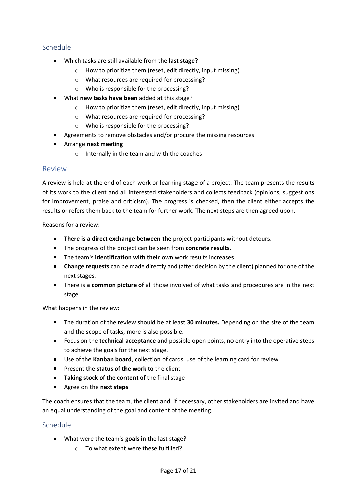#### <span id="page-16-0"></span>Schedule

- Which tasks are still available from the **last stage**?
	- o How to prioritize them (reset, edit directly, input missing)
	- o What resources are required for processing?
	- o Who is responsible for the processing?
- What **new tasks have been** added at this stage?
	- o How to prioritize them (reset, edit directly, input missing)
	- o What resources are required for processing?
	- o Who is responsible for the processing?
- Agreements to remove obstacles and/or procure the missing resources
- Arrange **next meeting**
	- o Internally in the team and with the coaches

#### <span id="page-16-1"></span>Review

A review is held at the end of each work or learning stage of a project. The team presents the results of its work to the client and all interested stakeholders and collects feedback (opinions, suggestions for improvement, praise and criticism). The progress is checked, then the client either accepts the results or refers them back to the team for further work. The next steps are then agreed upon.

Reasons for a review:

- **There is a direct exchange between the** project participants without detours.
- The progress of the project can be seen from **concrete results.**
- **The team's identification with their** own work results increases.
- **Change requests** can be made directly and (after decision by the client) planned for one of the next stages.
- There is a **common picture of** all those involved of what tasks and procedures are in the next stage.

What happens in the review:

- The duration of the review should be at least **30 minutes.** Depending on the size of the team and the scope of tasks, more is also possible.
- Focus on the **technical acceptance** and possible open points, no entry into the operative steps to achieve the goals for the next stage.
- Use of the **Kanban board**, collection of cards, use of the learning card for review
- **Present the status of the work to the client**
- **Taking stock of the content of** the final stage
- Agree on the **next steps**

The coach ensures that the team, the client and, if necessary, other stakeholders are invited and have an equal understanding of the goal and content of the meeting.

#### <span id="page-16-2"></span>Schedule

- What were the team's **goals in** the last stage?
	- o To what extent were these fulfilled?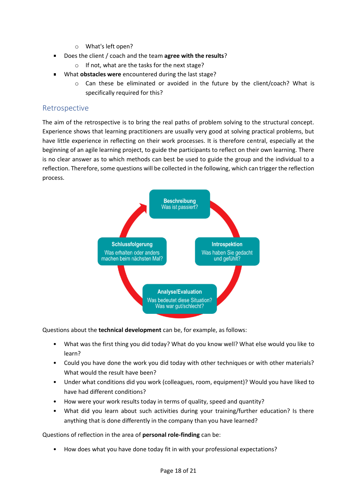- o What's left open?
- Does the client / coach and the team **agree with the results**?  $\blacksquare$ 
	- o If not, what are the tasks for the next stage?
- What **obstacles were** encountered during the last stage?
	- $\circ$  Can these be eliminated or avoided in the future by the client/coach? What is specifically required for this?

#### <span id="page-17-0"></span>Retrospective

The aim of the retrospective is to bring the real paths of problem solving to the structural concept. Experience shows that learning practitioners are usually very good at solving practical problems, but have little experience in reflecting on their work processes. It is therefore central, especially at the beginning of an agile learning project, to guide the participants to reflect on their own learning. There is no clear answer as to which methods can best be used to guide the group and the individual to a reflection. Therefore, some questions will be collected in the following, which can trigger the reflection process.



Questions about the **technical development** can be, for example, as follows:

- What was the first thing you did today? What do you know well? What else would you like to learn?
- Could you have done the work you did today with other techniques or with other materials? What would the result have been?
- Under what conditions did you work (colleagues, room, equipment)? Would you have liked to have had different conditions?
- How were your work results today in terms of quality, speed and quantity?
- What did you learn about such activities during your training/further education? Is there anything that is done differently in the company than you have learned?

Questions of reflection in the area of **personal role-finding** can be:

• How does what you have done today fit in with your professional expectations?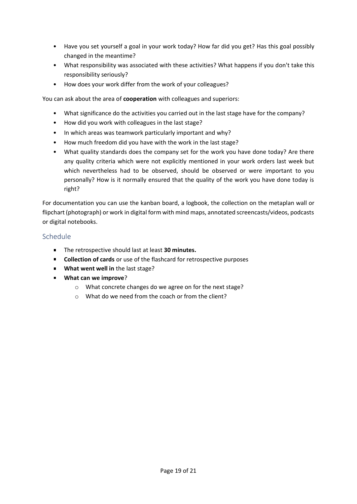- Have you set yourself a goal in your work today? How far did you get? Has this goal possibly changed in the meantime?
- What responsibility was associated with these activities? What happens if you don't take this responsibility seriously?
- How does your work differ from the work of your colleagues?

You can ask about the area of **cooperation** with colleagues and superiors:

- What significance do the activities you carried out in the last stage have for the company?
- How did you work with colleagues in the last stage?
- In which areas was teamwork particularly important and why?
- How much freedom did you have with the work in the last stage?
- What quality standards does the company set for the work you have done today? Are there any quality criteria which were not explicitly mentioned in your work orders last week but which nevertheless had to be observed, should be observed or were important to you personally? How is it normally ensured that the quality of the work you have done today is right?

For documentation you can use the kanban board, a logbook, the collection on the metaplan wall or flipchart (photograph) or work in digital form with mind maps, annotated screencasts/videos, podcasts or digital notebooks.

#### <span id="page-18-0"></span>Schedule

- The retrospective should last at least **30 minutes.**
- **Collection of cards** or use of the flashcard for retrospective purposes
- **What went well in** the last stage?
- **What can we improve**?
	- o What concrete changes do we agree on for the next stage?
	- o What do we need from the coach or from the client?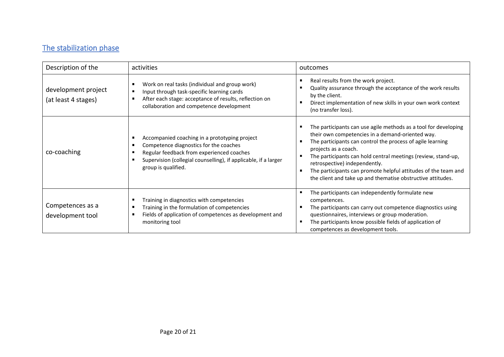# The stabilization phase

<span id="page-19-0"></span>

| Description of the                         | activities                                                                                                                                                                                                                     | outcomes                                                                                                                                                                                                                                                                                                                                                                                                                                     |
|--------------------------------------------|--------------------------------------------------------------------------------------------------------------------------------------------------------------------------------------------------------------------------------|----------------------------------------------------------------------------------------------------------------------------------------------------------------------------------------------------------------------------------------------------------------------------------------------------------------------------------------------------------------------------------------------------------------------------------------------|
| development project<br>(at least 4 stages) | Work on real tasks (individual and group work)<br>Input through task-specific learning cards<br>After each stage: acceptance of results, reflection on<br>collaboration and competence development                             | Real results from the work project.<br>Quality assurance through the acceptance of the work results<br>by the client.<br>Direct implementation of new skills in your own work context<br>(no transfer loss).                                                                                                                                                                                                                                 |
| co-coaching                                | Accompanied coaching in a prototyping project<br>Competence diagnostics for the coaches<br>Regular feedback from experienced coaches<br>Supervision (collegial counselling), if applicable, if a larger<br>group is qualified. | The participants can use agile methods as a tool for developing<br>their own competencies in a demand-oriented way.<br>The participants can control the process of agile learning<br>projects as a coach.<br>The participants can hold central meetings (review, stand-up,<br>retrospective) independently.<br>The participants can promote helpful attitudes of the team and<br>the client and take up and thematise obstructive attitudes. |
| Competences as a<br>development tool       | Training in diagnostics with competencies<br>Training in the formulation of competencies<br>Fields of application of competences as development and<br>monitoring tool                                                         | The participants can independently formulate new<br>competences.<br>The participants can carry out competence diagnostics using<br>questionnaires, interviews or group moderation.<br>The participants know possible fields of application of<br>competences as development tools.                                                                                                                                                           |